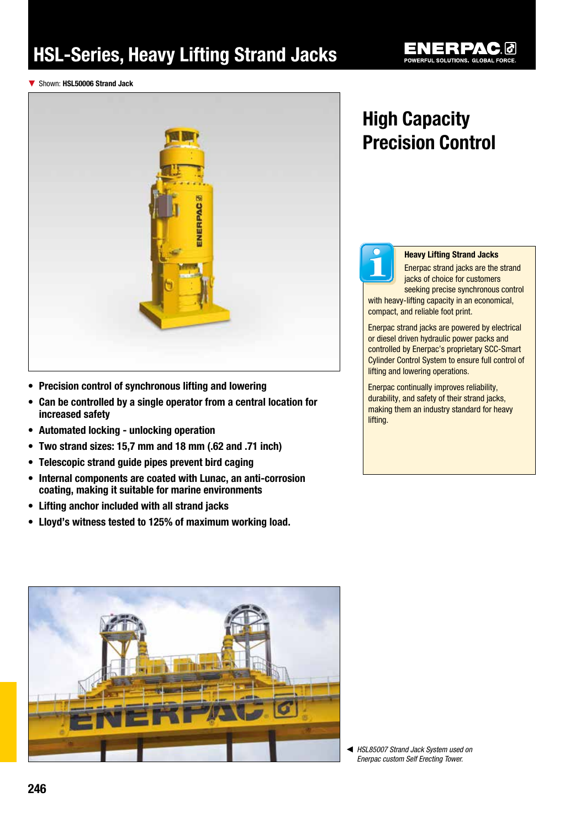# HSL-Series, Heavy Lifting Strand Jacks

▼ Shown: HSL50006 Strand Jack



- Precision control of synchronous lifting and lowering
- Can be controlled by a single operator from a central location for increased safety
- Automated locking unlocking operation
- • Two strand sizes: 15,7 mm and 18 mm (.62 and .71 inch)
- Telescopic strand quide pipes prevent bird caging
- Internal components are coated with Lunac, an anti-corrosion coating, making it suitable for marine environments
- • Lifting anchor included with all strand jacks
- • Lloyd's witness tested to 125% of maximum working load.

### High Capacity Precision Control



### Heavy Lifting Strand Jacks

Enerpac strand jacks are the strand jacks of choice for customers seeking precise synchronous control

with heavy-lifting capacity in an economical, compact, and reliable foot print.

Enerpac strand jacks are powered by electrical or diesel driven hydraulic power packs and controlled by Enerpac's proprietary SCC-Smart Cylinder Control System to ensure full control of lifting and lowering operations.

Enerpac continually improves reliability, durability, and safety of their strand jacks, making them an industry standard for heavy lifting.



◀ *HSL85007 Strand Jack System used on Enerpac custom Self Erecting Tower.*